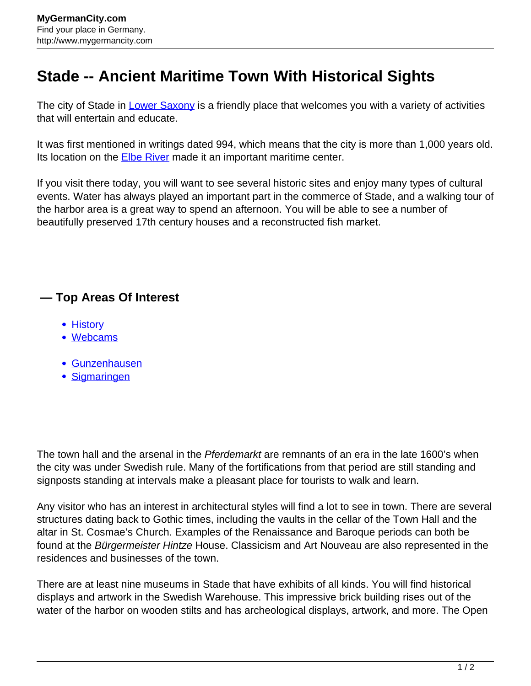## **Stade -- Ancient Maritime Town With Historical Sights**

The city of Stade in [Lower Saxony](http://www.mygermancity.com/lower-saxony) is a friendly place that welcomes you with a variety of activities that will entertain and educate.

It was first mentioned in writings dated 994, which means that the city is more than 1,000 years old. Its location on the **[Elbe River](http://www.mygermancity.com/elbe)** made it an important maritime center.

If you visit there today, you will want to see several historic sites and enjoy many types of cultural events. Water has always played an important part in the commerce of Stade, and a walking tour of the harbor area is a great way to spend an afternoon. You will be able to see a number of beautifully preserved 17th century houses and a reconstructed fish market.

## **— Top Areas Of Interest**

- [History](http://www.mygermancity.com/leipzig-history)
- [Webcams](http://www.mygermancity.com/neustadt-holstein-webcams)
- [Gunzenhausen](http://www.mygermancity.com/gunzenhausen)
- [Sigmaringen](http://www.mygermancity.com/sigmaringen)

The town hall and the arsenal in the *Pferdemarkt* are remnants of an era in the late 1600's when the city was under Swedish rule. Many of the fortifications from that period are still standing and signposts standing at intervals make a pleasant place for tourists to walk and learn.

Any visitor who has an interest in architectural styles will find a lot to see in town. There are several structures dating back to Gothic times, including the vaults in the cellar of the Town Hall and the altar in St. Cosmae's Church. Examples of the Renaissance and Baroque periods can both be found at the Bürgermeister Hintze House. Classicism and Art Nouveau are also represented in the residences and businesses of the town.

There are at least nine museums in Stade that have exhibits of all kinds. You will find historical displays and artwork in the Swedish Warehouse. This impressive brick building rises out of the water of the harbor on wooden stilts and has archeological displays, artwork, and more. The Open